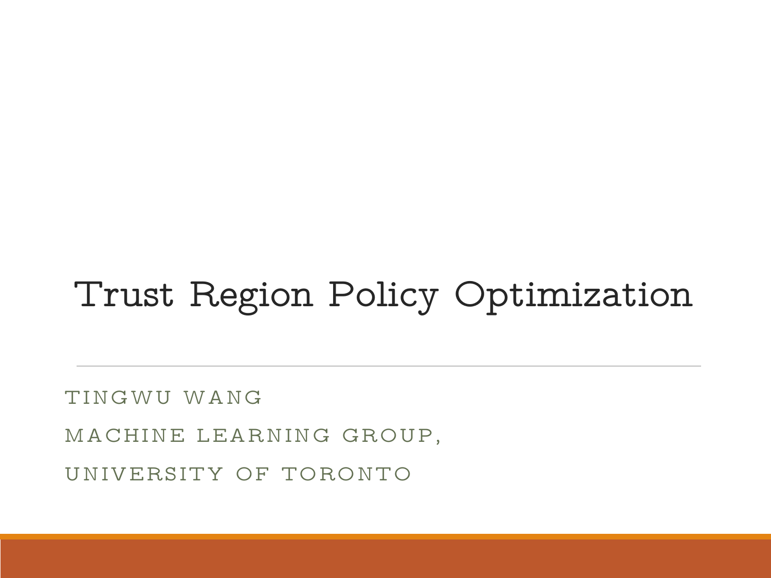#### UNIVERSITY OF TORONTO

MACHINE LEARNING GROUP,

TINGWU WANG

#### Trust Region Policy Optimization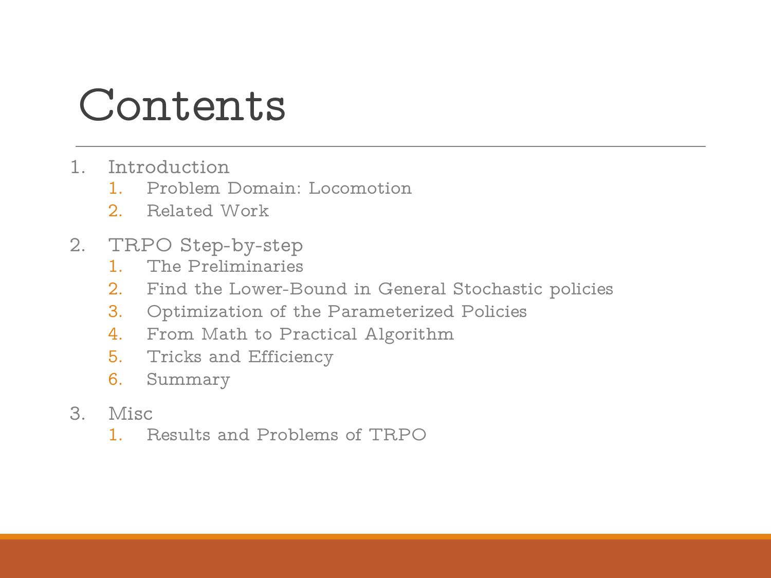# Contents

- 1. Introduction
	- 1. Problem Domain: Locomotion
	- 2. Related Work
- 2. TRPO Step-by-step
	- 1. The Preliminaries
	- 2. Find the Lower-Bound in General Stochastic policies
	- 3. Optimization of the Parameterized Policies
	- 4. From Math to Practical Algorithm
	- 5. Tricks and Efficiency
	- 6. Summary
- 3. Misc
	- 1. Results and Problems of TRPO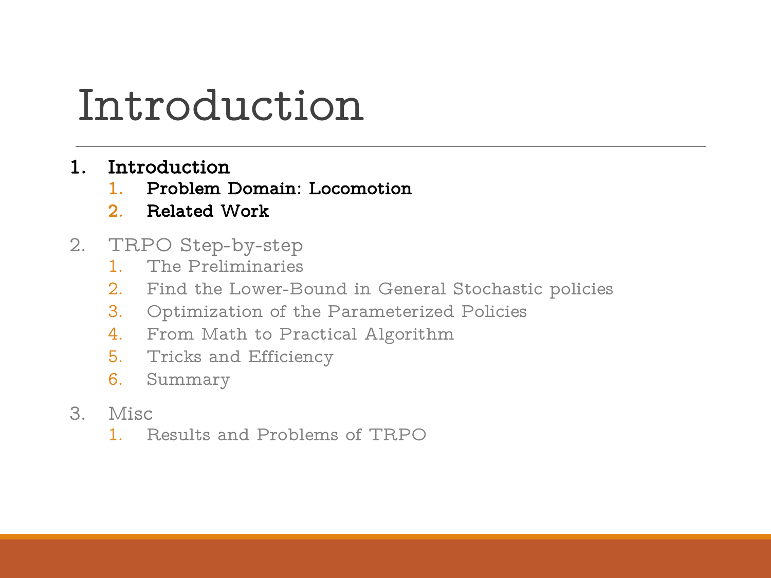# Introduction

- 1. Introduction
	- 1. Problem Domain: Locomotion
	- 2. Related Work
- 2. TRPO Step-by-step
	- 1. The Preliminaries
	- 2. Find the Lower-Bound in General Stochastic policies
	- 3. Optimization of the Parameterized Policies
	- 4. From Math to Practical Algorithm
	- 5. Tricks and Efficiency
	- 6. Summary
- 3. Misc
	- 1. Results and Problems of TRPO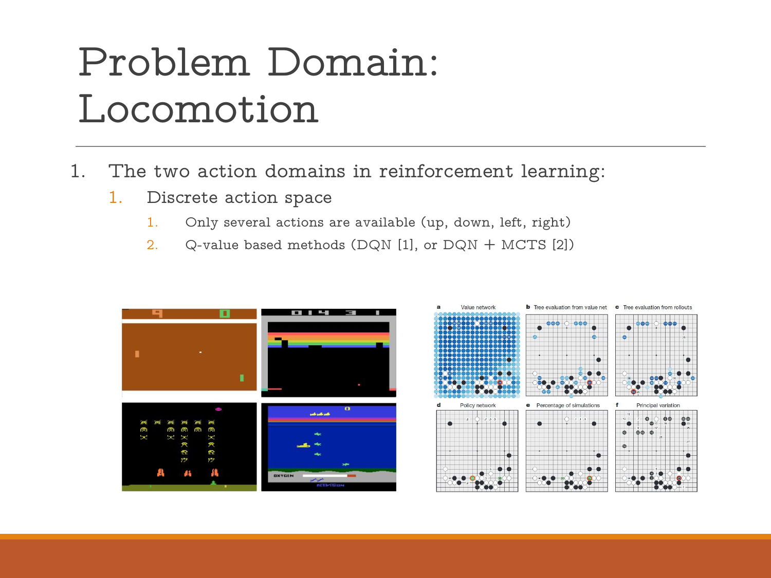# Problem Domain: Locomotion

- 1. The two action domains in reinforcement learning:
	- 1. Discrete action space
		- 1. Only several actions are available (up, down, left, right)
		- 2. Q-value based methods (DQN [1], or DQN + MCTS [2])

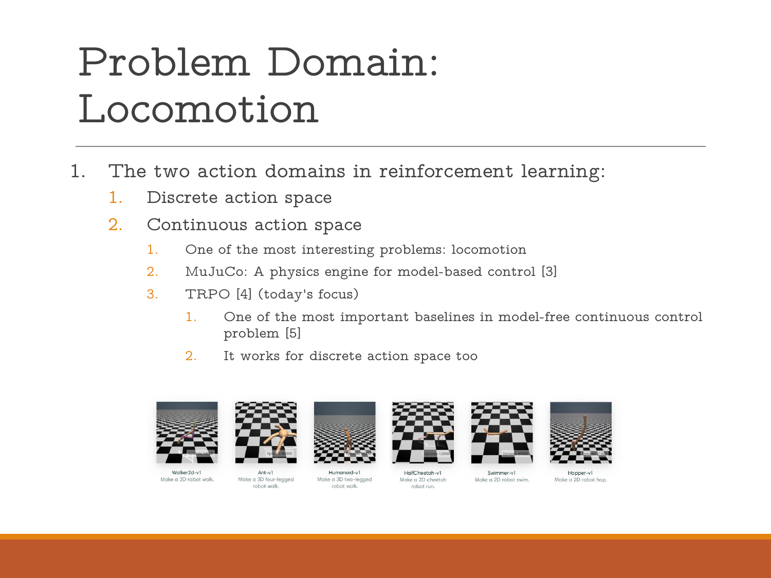# Problem Domain: Locomotion

- 1. The two action domains in reinforcement learning:
	- 1. Discrete action space
	- 2. Continuous action space
		- 1. One of the most interesting problems: locomotion
		- 2. MuJuCo: A physics engine for model-based control [3]
		- 3. TRPO [4] (today's focus)
			- 1. One of the most important baselines in model-free continuous control problem [5]
			- 2. It works for discrete action space too



Walker<sub>2d-v</sub> Make a 2D robot walk.



Humanoid-v1 Ant-v1 Make a 3D two-legged Make a 3D four-legged robot walk. robot walk.



HalfCheetah-v1 Make a 2D cheetah

robot run.





Hopper-v Make a 2D robot hop.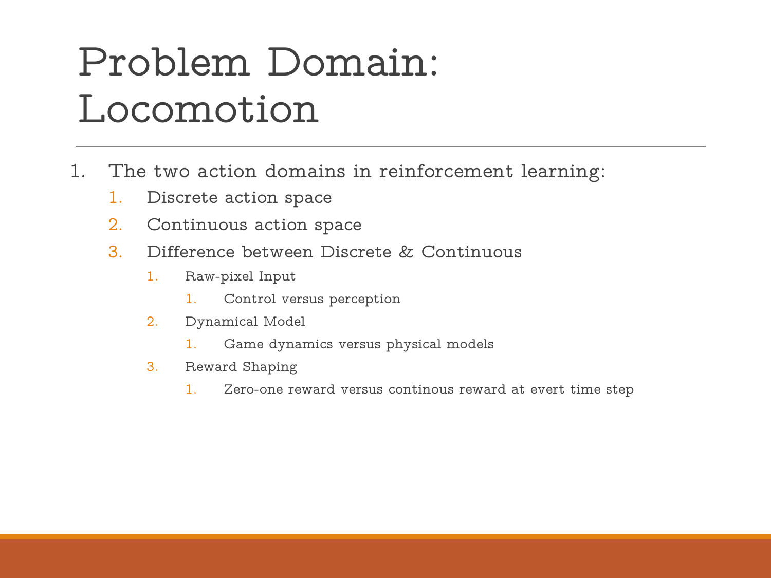# Problem Domain: Locomotion

- 1. The two action domains in reinforcement learning:
	- 1. Discrete action space
	- 2. Continuous action space
	- 3. Difference between Discrete & Continuous
		- 1. Raw-pixel Input
			- 1. Control versus perception
		- 2. Dynamical Model
			- 1. Game dynamics versus physical models
		- 3. Reward Shaping
			- 1. Zero-one reward versus continous reward at evert time step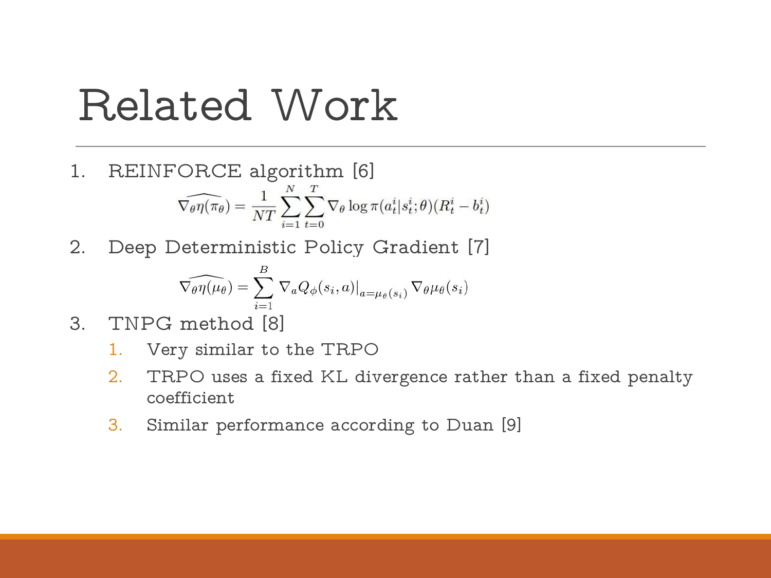#### Related Work

- 1. REINFORCE algorithm [6]<br>  $\widehat{\nabla_{\theta} \eta(\pi_{\theta})} = \frac{1}{NT} \sum_{i=1}^{N} \sum_{t=0}^{T} \nabla_{\theta} \log \pi(a_t^i | s_t^i; \theta) (R_t^i b_t^i)$
- 2. Deep Deterministic Policy Gradient [7]

$$
\widehat{\nabla_{\theta}\eta(\mu_{\theta})} = \sum_{i=1}^{B} \left. \nabla_{a} Q_{\phi}(s_i, a) \right|_{a = \mu_{\theta}(s_i)} \nabla_{\theta} \mu_{\theta}(s_i)
$$

- 3. TNPG method [8]
	- 1. Very similar to the TRPO
	- 2. TRPO uses a fixed KL divergence rather than a fixed penalty coefficient
	- 3. Similar performance according to Duan [9]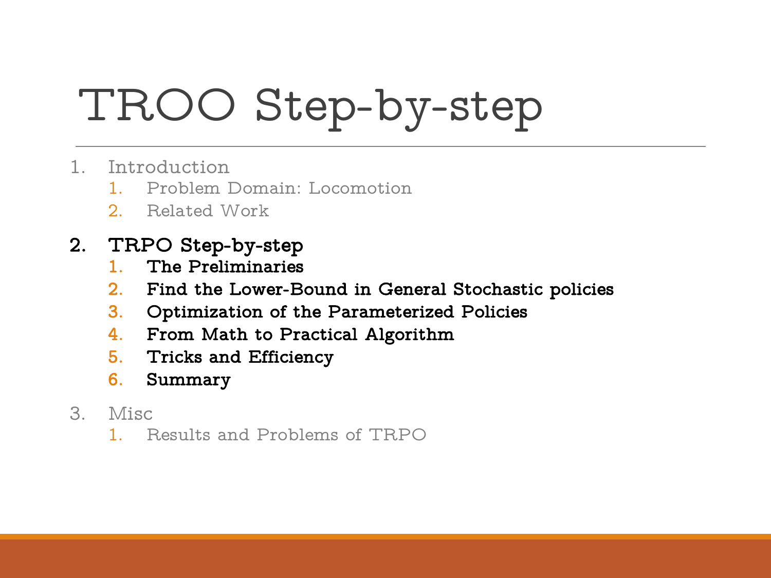# TROO Step-by-step

- 1. Introduction
	- 1. Problem Domain: Locomotion
	- 2. Related Work
- 2. TRPO Step-by-step
	- 1. The Preliminaries
	- 2. Find the Lower-Bound in General Stochastic policies
	- 3. Optimization of the Parameterized Policies
	- 4. From Math to Practical Algorithm
	- 5. Tricks and Efficiency
	- 6. Summary
- 3. Misc
	- 1. Results and Problems of TRPO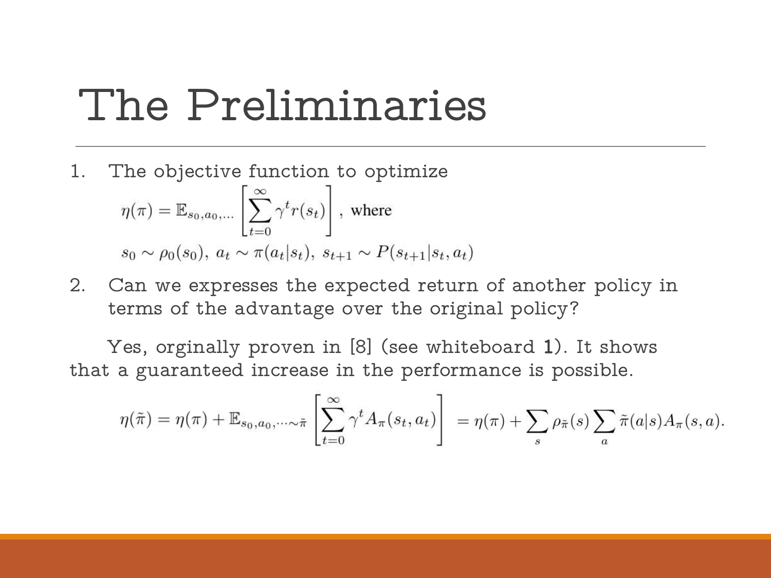1. The objective function to optimize

\n- **The objective function to optimize**
\n- $$
\eta(\pi) = \mathbb{E}_{s_0, a_0, \dots} \left[ \sum_{t=0}^{\infty} \gamma^t r(s_t) \right]
$$
, where  $s_0 \sim \rho_0(s_0), a_t \sim \pi(a_t|s_t), s_{t+1} \sim P(s_{t+1}|s_t, a_t)$
\n- Can we expresses the expected return of another policy in terms of the advantage over the original policy?
\n- Yes, originally proven in [8] (see whiteboard 1). It shows that a guaranteed increase in the performance is possible.
\n

2. Can we expresses the expected return of another policy in terms of the advantage over the original policy?

Yes, orginally proven in [8] (see whiteboard 1). It shows

$$
\eta(\tilde{\pi}) = \eta(\pi) + \mathbb{E}_{s_0, a_0, \dots \sim \tilde{\pi}} \left[ \sum_{t=0}^{\infty} \gamma^t A_{\pi}(s_t, a_t) \right] = \eta(\pi) + \sum_s \rho_{\tilde{\pi}}(s) \sum_a \tilde{\pi}(a|s) A_{\pi}(s, a).
$$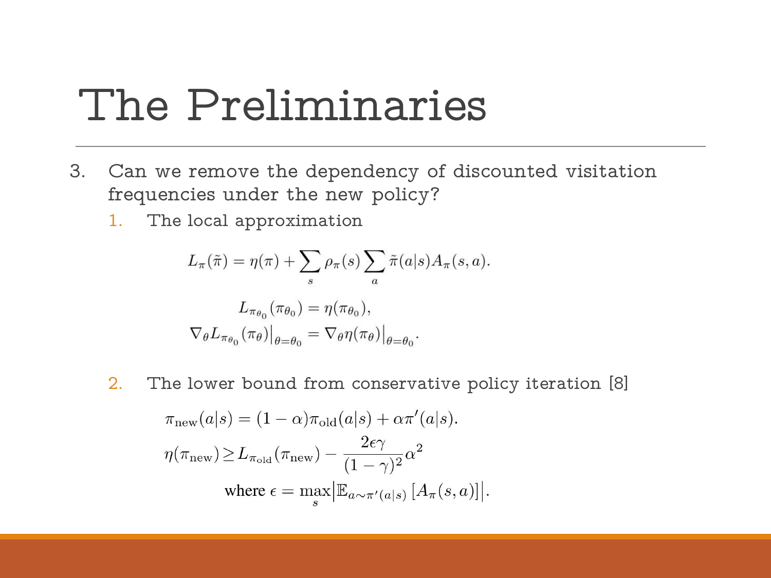#### The Preliminaries

- 3. Can we remove the dependency of discounted visitation frequencies under the new policy?
	- 1. The local approximation

$$
L_{\pi}(\tilde{\pi}) = \eta(\pi) + \sum_{s} \rho_{\pi}(s) \sum_{a} \tilde{\pi}(a|s) A_{\pi}(s, a).
$$

$$
L_{\pi_{\theta_0}}(\pi_{\theta_0}) = \eta(\pi_{\theta_0}),
$$

$$
\nabla_{\theta} L_{\pi_{\theta_0}}(\pi_{\theta})|_{\theta = \theta_0} = \nabla_{\theta} \eta(\pi_{\theta})|_{\theta = \theta_0}.
$$

2. The lower bound from conservative policy iteration [8]

$$
\pi_{\text{new}}(a|s) = (1 - \alpha)\pi_{\text{old}}(a|s) + \alpha\pi'(a|s).
$$

$$
\eta(\pi_{\text{new}}) \ge L_{\pi_{\text{old}}}(\pi_{\text{new}}) - \frac{2\epsilon\gamma}{(1 - \gamma)^2} \alpha^2
$$
  
where  $\epsilon = \max_s |\mathbb{E}_{a \sim \pi'(a|s)} [A_{\pi}(s, a)]|$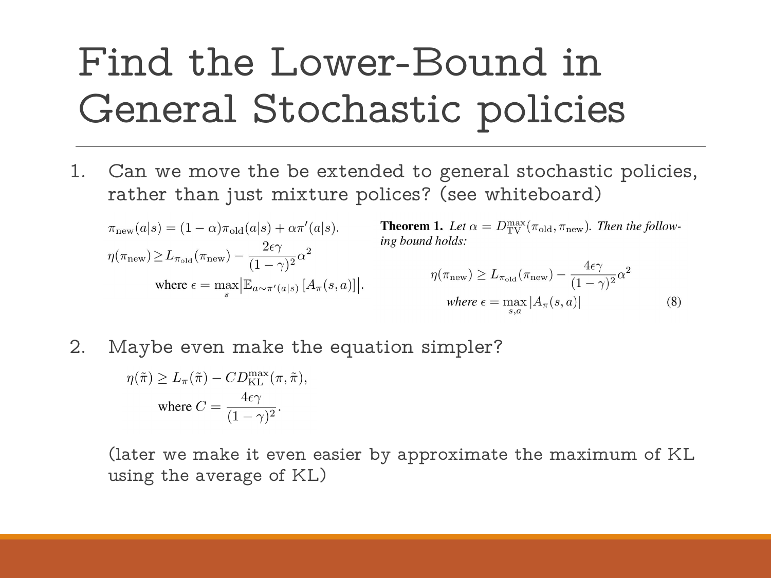# Find the Lower-Bound in General Stochastic policies

1. Can we move the be extended to general stochastic policies, rather than just mixture polices? (see whiteboard)

$$
\pi_{\text{new}}(a|s) = (1 - \alpha)\pi_{\text{old}}(a|s) + \alpha \pi'(a|s).
$$

$$
\eta(\pi_{\text{new}}) \ge L_{\pi_{\text{old}}}(\pi_{\text{new}}) - \frac{2\epsilon\gamma}{(1 - \gamma)^2} \alpha^2
$$

$$
\text{where } \epsilon = \max_s |\mathbb{E}_{a \sim \pi'(a|s)} [A_{\pi}(s, a)]|
$$

**Theorem 1.** Let  $\alpha = D_{\text{TV}}^{\text{max}}(\pi_{\text{old}}, \pi_{\text{new}})$ . Then the following bound holds:

$$
\eta(\pi_{\text{new}}) \ge L_{\pi_{\text{old}}}(\pi_{\text{new}}) - \frac{4\epsilon\gamma}{(1-\gamma)^2} \alpha^2
$$
\n
$$
\text{where } \epsilon = \max_{s,a} |A_{\pi}(s,a)| \tag{8}
$$

2. Maybe even make the equation simpler?

$$
\eta(\tilde{\pi}) \ge L_{\pi}(\tilde{\pi}) - CD_{\text{KL}}^{\text{max}}(\pi, \tilde{\pi}),
$$
  
where  $C = \frac{4\epsilon\gamma}{(1 - \gamma)^2}.$ 

(later we make it even easier by approximate the maximum of KL using the average of KL)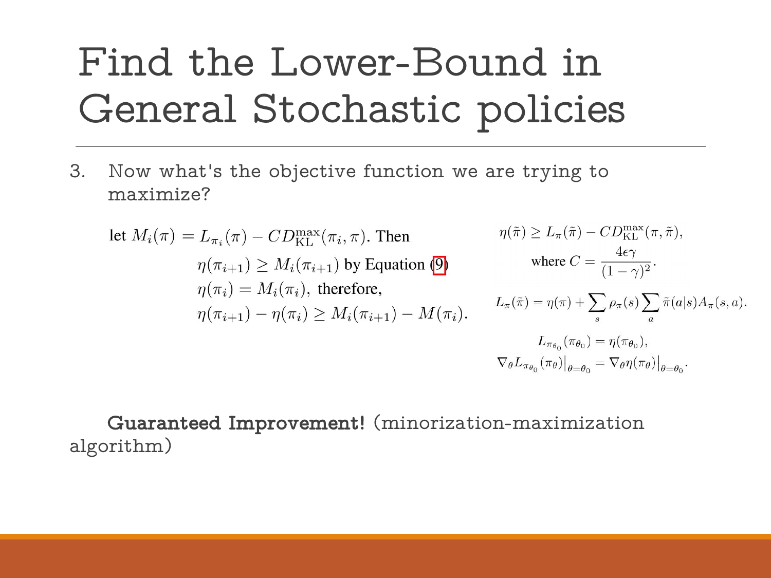# Find the Lower-Bound in General Stochastic policies

3. Now what's the objective function we are trying to maximize?

let 
$$
M_i(\pi) = L_{\pi_i}(\pi) - CD_{\text{KL}}^{\text{max}}(\pi_i, \pi)
$$
. Then  
\n
$$
\eta(\pi_{i+1}) \ge M_i(\pi_{i+1}) \text{ by Equation (9)}
$$
\n
$$
\eta(\pi_i) = M_i(\pi_i), \text{ therefore,}
$$
\n
$$
\eta(\pi_{i+1}) - \eta(\pi_i) \ge M_i(\pi_{i+1}) - M(\pi_i).
$$

$$
\eta(\tilde{\pi}) \ge L_{\pi}(\tilde{\pi}) - CD_{\text{KL}}^{\max}(\pi, \tilde{\pi}),
$$
  
where  $C = \frac{4\epsilon\gamma}{(1 - \gamma)^2}.$   

$$
L_{\pi}(\tilde{\pi}) = \eta(\pi) + \sum_{s} \rho_{\pi}(s) \sum_{a} \tilde{\pi}(a|s) A_{\pi}(s, a).
$$
  

$$
L_{\pi_{\theta_0}}(\pi_{\theta_0}) = \eta(\pi_{\theta_0}),
$$
  

$$
\nabla_{\theta} L_{\pi_{\theta_0}}(\pi_{\theta})|_{\theta = \theta_0} = \nabla_{\theta} \eta(\pi_{\theta})|_{\theta = \theta_0}.
$$

 Guaranteed Improvement! (minorization-maximization algorithm)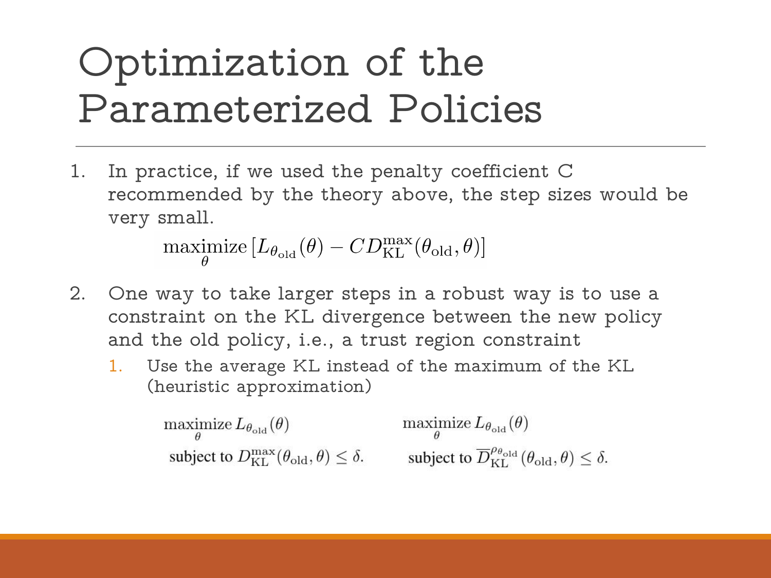# Optimization of the Parameterized Policies

1. In practice, if we used the penalty coefficient C recommended by the theory above, the step sizes would be very small.

maximize  $[L_{\theta_{old}}(\theta) - CD_{KL}^{\max}(\theta_{old}, \theta)]$ 

- 2. One way to take larger steps in a robust way is to use a constraint on the KL divergence between the new policy and the old policy, i.e., a trust region constraint
	- Use the average KL instead of the maximum of the KL (heuristic approximation)

maximize  $L_{\theta_{old}}(\theta)$ maximize  $L_{\theta_{old}}(\theta)$ subject to  $D_{\text{KL}}^{\text{max}}(\theta_{\text{old}}, \theta) \leq \delta$ . subject to  $\overline{D}_{\text{KL}}^{\rho_{\theta_{\text{old}}}}(\theta_{\text{old}}, \theta) \leq \delta$ .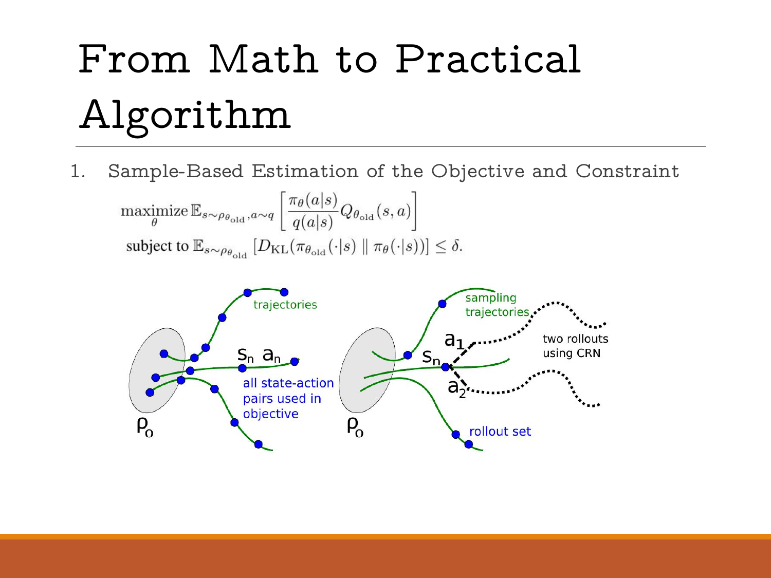# From Math to Practical Algorithm

1. Sample-Based Estimation of the Objective and Constraint

$$
\underset{\theta}{\text{maximize}} \mathbb{E}_{s \sim \rho_{\theta_{\text{old}}}, a \sim q} \left[ \frac{\pi_{\theta}(a|s)}{q(a|s)} Q_{\theta_{\text{old}}}(s, a) \right]
$$
  
subject to  $\mathbb{E}_{s \sim \rho_{\theta_{\text{old}}}} [D_{\text{KL}}(\pi_{\theta_{\text{old}}}(\cdot|s) \parallel \pi_{\theta}(\cdot|s))] \le \delta$ 

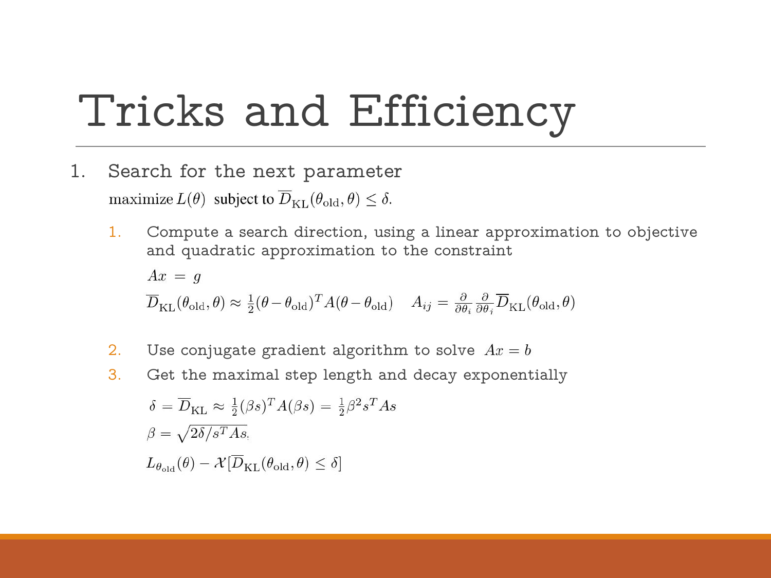# Tricks and Efficiency

- 1. Search for the next parameter maximize  $L(\theta)$  subject to  $\overline{D}_{\text{KL}}(\theta_{\text{old}}, \theta) \leq \delta$ .
	- 1. Compute a search direction, using a linear approximation to objective and quadratic approximation to the constraint  $Ax = q$

$$
\overline{D}_{\mathrm{KL}}(\theta_{\mathrm{old}}, \theta) \approx \frac{1}{2} (\theta - \theta_{\mathrm{old}})^{T} A(\theta - \theta_{\mathrm{old}}) \quad A_{ij} = \frac{\partial}{\partial \theta_{i}} \frac{\partial}{\partial \theta_{j}} \overline{D}_{\mathrm{KL}}(\theta_{\mathrm{old}}, \theta)
$$

- 2. Use conjugate gradient algorithm to solve  $Ax = b$
- 3. Get the maximal step length and decay exponentially

$$
\delta = \overline{D}_{\text{KL}} \approx \frac{1}{2} (\beta s)^T A(\beta s) = \frac{1}{2} \beta^2 s^T A s
$$

$$
\beta = \sqrt{2\delta/s^T A s},
$$

$$
L_{\theta_{\text{old}}}(\theta) - \mathcal{X}[\overline{D}_{\text{KL}}(\theta_{\text{old}}, \theta) \le \delta]
$$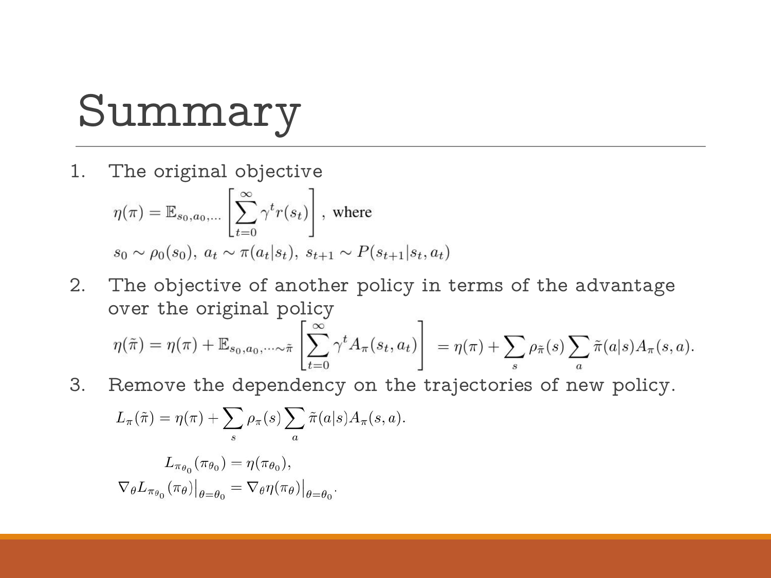# Summary

1. The original objective

$$
\eta(\pi) = \mathbb{E}_{s_0, a_0, \dots} \left[ \sum_{t=0}^{\infty} \gamma^t r(s_t) \right], \text{ where}
$$
  

$$
s_0 \sim \rho_0(s_0), \ a_t \sim \pi(a_t|s_t), \ s_{t+1} \sim P(s_{t+1}|s_t, a_t)
$$

2. The objective of another policy in terms of the advantage over the original policy

$$
\eta(\tilde{\pi}) = \eta(\pi) + \mathbb{E}_{s_0, a_0, \dots \sim \tilde{\pi}} \left[ \sum_{t=0}^{\infty} \gamma^t A_{\pi}(s_t, a_t) \right] = \eta(\pi) + \sum_s \rho_{\tilde{\pi}}(s) \sum_a \tilde{\pi}(a|s) A_{\pi}(s, a).
$$

3. Remove the dependency on the trajectories of new policy.

$$
L_{\pi}(\tilde{\pi}) = \eta(\pi) + \sum_{s} \rho_{\pi}(s) \sum_{a} \tilde{\pi}(a|s) A_{\pi}(s, a).
$$

$$
L_{\pi_{\theta_0}}(\pi_{\theta_0}) = \eta(\pi_{\theta_0}),
$$

$$
\nabla_{\theta} L_{\pi_{\theta_0}}(\pi_{\theta})|_{\theta = \theta_0} = \nabla_{\theta} \eta(\pi_{\theta})|_{\theta = \theta_0}.
$$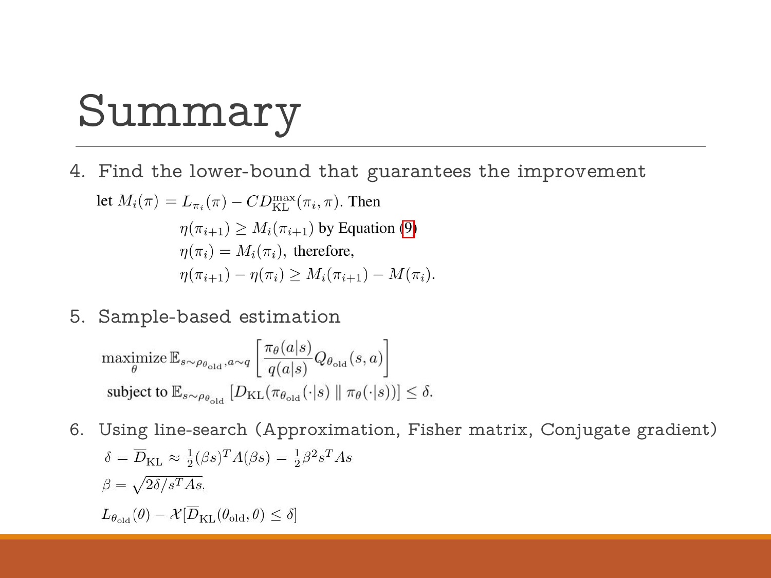# Summary

4. Find the lower-bound that guarantees the improvement

let  $M_i(\pi) = L_{\pi_i}(\pi) - CD_{\text{KL}}^{\text{max}}(\pi_i, \pi)$ . Then  $\eta(\pi_{i+1}) \geq M_i(\pi_{i+1})$  by Equation (9)  $\eta(\pi_i) = M_i(\pi_i)$ , therefore,  $\eta(\pi_{i+1}) - \eta(\pi_i) \geq M_i(\pi_{i+1}) - M(\pi_i).$ 

5. Sample-based estimation

$$
\begin{aligned}\n\max_{\theta} \text{imize } &\mathbb{E}_{s \sim \rho_{\theta_{\text{old}}}, a \sim q} \left[ \frac{\pi_{\theta}(a|s)}{q(a|s)} Q_{\theta_{\text{old}}}(s, a) \right] \\
\text{subject to } &\mathbb{E}_{s \sim \rho_{\theta_{\text{old}}}} \left[ D_{\text{KL}}(\pi_{\theta_{\text{old}}}(\cdot|s) \parallel \pi_{\theta}(\cdot|s)) \right] \leq \delta.\n\end{aligned}
$$

6. Using line-search (Approximation, Fisher matrix, Conjugate gradient) $\delta = \overline{D}_{\text{KL}} \approx \frac{1}{2} (\beta s)^T A(\beta s) = \frac{1}{2} \beta^2 s^T A s$  $\beta = \sqrt{2\delta/s^T As}$  $L_{\theta_{old}}(\theta) - \mathcal{X}[\overline{D}_{\text{KL}}(\theta_{old}, \theta) \leq \delta]$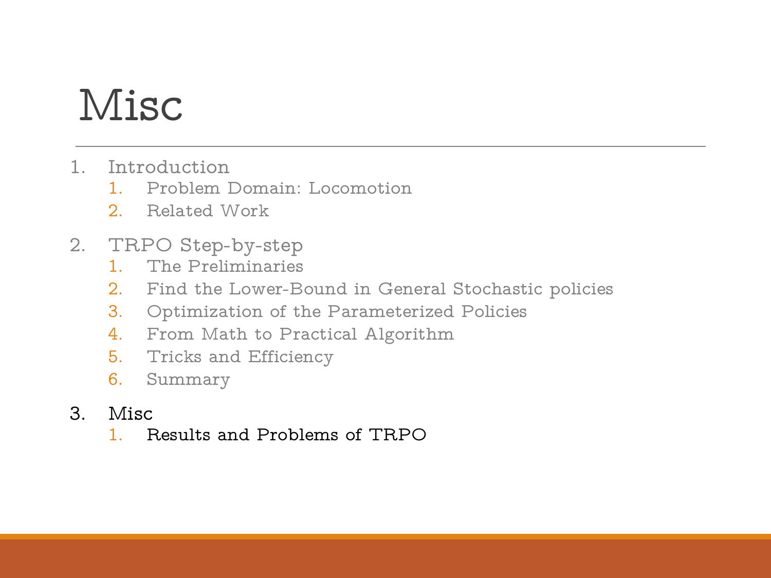# Misc

- 1. Introduction
	- 1. Problem Domain: Locomotion
	- 2. Related Work
- 2. TRPO Step-by-step
	- 1. The Preliminaries
	- 2. Find the Lower-Bound in General Stochastic policies
	- 3. Optimization of the Parameterized Policies
	- 4. From Math to Practical Algorithm
	- 5. Tricks and Efficiency
	- 6. Summary
- 3. Misc
	- 1. Results and Problems of TRPO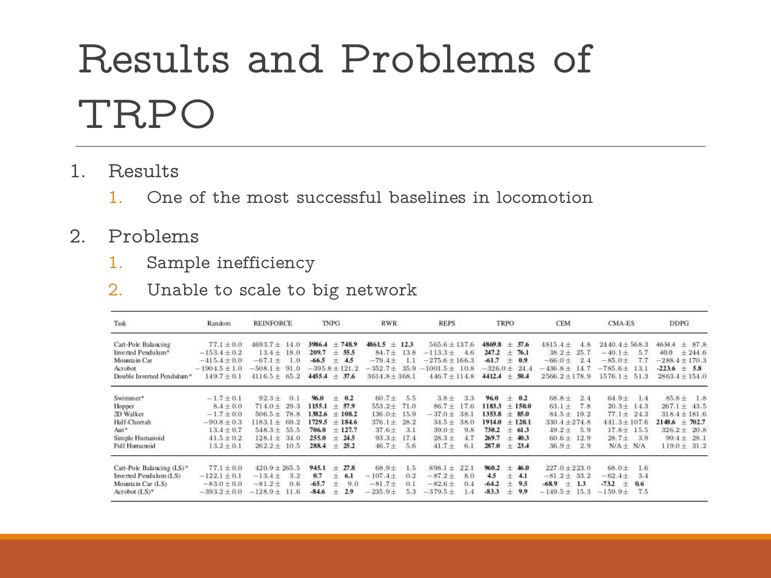# Results and Problems of TRPO

- 1. Results
	- 1. One of the most successful baselines in locomotion
- 2. Problems
	- 1. Sample inefficiency
	- 2. Unable to scale to big network

| Task                                  | Random            | <b>REINFORCE</b>         | <b>TNPG</b>                   | <b>RWR</b>           | <b>REPS</b>              | TRPO                       | <b>CEM</b>           | CMA-ES              | <b>DDPG</b>         |
|---------------------------------------|-------------------|--------------------------|-------------------------------|----------------------|--------------------------|----------------------------|----------------------|---------------------|---------------------|
| Cart-Pole Balancing                   | $77.1 \pm 0.0$    | $4693.7 \pm 14.0$        | $3986.4 \pm 748.9$            | $4861.5 \pm 12.3$    | $565.6 \pm 137.6$        | $4869.8 \pm 37.6$          | $4815.4 \pm$<br>4.8  | $2440.4 \pm 568.3$  | 4634.4<br>士<br>87.8 |
| Inverted Pendulum*                    | $-153.4 \pm 0.2$  | $13.4 \pm 18.0$          | $±$ 55.5<br>209.7             | $84.7 +$<br>13.8     | $-113.3 +$<br>4.6        | 247.2<br>76.1<br>$_{\pm}$  | $38.2 +$<br>25.7     | 5.7<br>$-40.1\pm$   | ± 244.6<br>40.0     |
| Mountain Car                          | $-415.4 \pm 0.0$  | $-67.1 +$<br>1.0         | $-66.5$<br>$_{\pm}$<br>$-4.5$ | $-79.4 +$<br>1.1     | $-275.6 \pm 166.3$       | $-61.7$<br>0.9<br>$_{\pm}$ | $-66.0 \pm$<br>2.4   | 7.7<br>$-85.0\pm$   | $-288.4 \pm 170.3$  |
| Acrobot                               | $-1904.5 \pm 1.0$ | $-508.1 \pm$<br>91<br>-0 | $-395.8 \pm 121.2$            | $-352.7 \pm$<br>35.9 | $-1001.5 \pm 10.8$       | $-326.0 \pm$<br>24.4       | 14.7<br>$-436.8 +$   | $-785.6\pm$<br>13.1 | $-223.6 \pm 5.8$    |
| Double Inverted Pendulum <sup>®</sup> | $149.7 \pm 0.1$   | $4116.5 \pm 65.2$        | 4455.4<br>37.6<br>$\pm$       | $3614.8 \pm 368.1$   | $446.7 \pm 114.8$        | 50.4<br>$4412.4 \pm$       | $2566.2 \pm 178.9$   | $1576.1 \pm 51.3$   | $2863.4 \pm 154.0$  |
| Swimmer*                              | $-1.7 \pm 0.1$    | $92.3 +$<br>0.1          | 96.0<br>0.2<br>士              | $60.7 +$<br>5.5      | 3.8 <sub>±</sub><br>3.3  | 96.0<br>0.2<br>$_{\pm}$    | $68.8 +$<br>2,4      | $64.9 +$<br>1.4     | $85.8 +$<br>1.8     |
| Hopper                                | $8.4 \pm 0.0$     | $714.0 \pm 29.3$         | 57.9<br>1155.1<br>÷           | 71.0<br>$553.2 +$    | $86.7 +$<br>17.6         | 1183.3<br>$+150.0$         | 7.8<br>$63.1 +$      | $20.3 \pm 14.3$     | $267.1 + 43.5$      |
| 2D Walker                             | $-1.7 \pm 0.0$    | $506.5 \pm 78.8$         | ±108.2<br>1382.6              | 15.9<br>$136.0 \pm$  | $-37.0 +$<br>38.1        | 1353.8<br>± 85.0           | $84.5 \pm 19.2$      | $77.1 \pm 24.3$     | $318.4 \pm 181.6$   |
| Half-Cheetah                          | $-90.8 \pm 0.3$   | $1183.1 + 69.2$          | 1729.5<br>$+184.6$            | 28.2<br>$376.1 +$    | $34.5 +$<br>38.0         | $1914.0 + 120.1$           | $330.4 \pm 274.8$    | $441.3 \pm 107.6$   | $2148.6 \pm 702.7$  |
| Ant*                                  | $13.4 \pm 0.7$    | $548.3 \pm 55.5$         | ± 127.7<br>706.0              | $37.6 +$<br>3.1      | 9.8<br>$39.0 +$          | 730.2<br>61.3<br>$\pm$     | 5.9<br>$49.2 +$      | $17.8 \pm 15.5$     | $326.2 +$<br>20.8   |
| Simple Humanoid                       | $41.5 \pm 0.2$    | $128.1 \pm 34.0$         | ± 24.5<br>255.0               | $93.3 +$<br>17.4     | $28.3 +$<br>4.7          | 269.7<br>40.3<br>$_{\pm}$  | $60.6 \pm$<br>12.9   | $28.7 +$<br>3.9     | $99.4 \pm$<br>28.1  |
| Full Humanoid                         | $13.2 \pm 0.1$    | $262.2 \pm 10.5$         | 288.4<br>25.2<br>士            | $46.7 +$<br>5.6      | 41.7 <sub>±</sub><br>6.1 | 287.0<br>23.4<br>土         | $36.9 +$<br>2.9      | $N/A \pm N/A$       | $119.0 \pm 31.2$    |
| Cart-Pole Balancing $(LS)^*$          | $77.1 \pm 0.0$    | $420.9 \pm 265.5$        | 945.1<br>27.8<br>士            | $68.9 +$<br>1.5      | 22.1<br>$898.1 +$        | 960.2<br>46.0<br>士         | $227.0 \pm 223.0$    | $68.0 \pm$<br>1.6   |                     |
| Inverted Pendulum (LS)                | $-122.1 \pm 0.1$  | 3.2<br>$-13.4 +$         | 0.7<br>6.1<br>÷               | $-107.4+$<br>0.2     | $-87.2 +$<br>8.0         | 4.5<br>4.1<br>4            | $-81.2 \pm 33.2$     | $-62.4 +$<br>3.4    |                     |
| Mountain Car (LS)                     | $-83.0 \pm 0.0$   | 0.6<br>$-81.2 +$         | $-65.7$<br>9.0<br>士           | $-81.7+$<br>0.1      | $-82.6 +$<br>0.4         | $-64.2$<br>9.5<br>士        | $-68.9$<br>$\pm$ 1.3 | $-73.2$<br>0.6<br>士 |                     |
| Acrobot (LS)*                         | $-393.2 \pm 0.0$  | 11.6<br>$-128.9 +$       | $-84.6$<br>2.9<br>士           | $-235.9+$<br>5.3     | $-379.5 +$<br>1.4        | 9.9<br>$-83.3$<br>士        | $-149.5 \pm 15.3$    | $-159.9\pm$<br>7.5  |                     |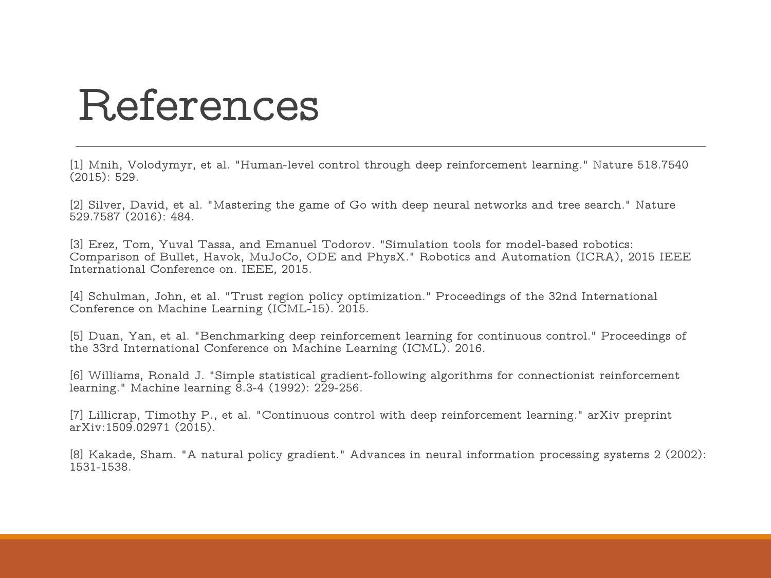#### References

[1] Mnih, Volodymyr, et al. "Human-level control through deep reinforcement learning." Nature 518.7540 (2015): 529.

[2] Silver, David, et al. "Mastering the game of Go with deep neural networks and tree search." Nature 529.7587 (2016): 484.

[3] Erez, Tom, Yuval Tassa, and Emanuel Todorov. "Simulation tools for model-based robotics: Comparison of Bullet, Havok, MuJoCo, ODE and PhysX." Robotics and Automation (ICRA), 2015 IEEE International Conference on. IEEE, 2015.

[4] Schulman, John, et al. "Trust region policy optimization." Proceedings of the 32nd International Conference on Machine Learning (ICML-15). 2015.

[5] Duan, Yan, et al. "Benchmarking deep reinforcement learning for continuous control." Proceedings of the 33rd International Conference on Machine Learning (ICML). 2016.

[6] Williams, Ronald J. "Simple statistical gradient-following algorithms for connectionist reinforcement learning." Machine learning 8.3-4 (1992): 229-256.

[7] Lillicrap, Timothy P., et al. "Continuous control with deep reinforcement learning." arXiv preprint arXiv:1509.02971 (2015).

[8] Kakade, Sham. "A natural policy gradient." Advances in neural information processing systems 2 (2002): 1531-1538.